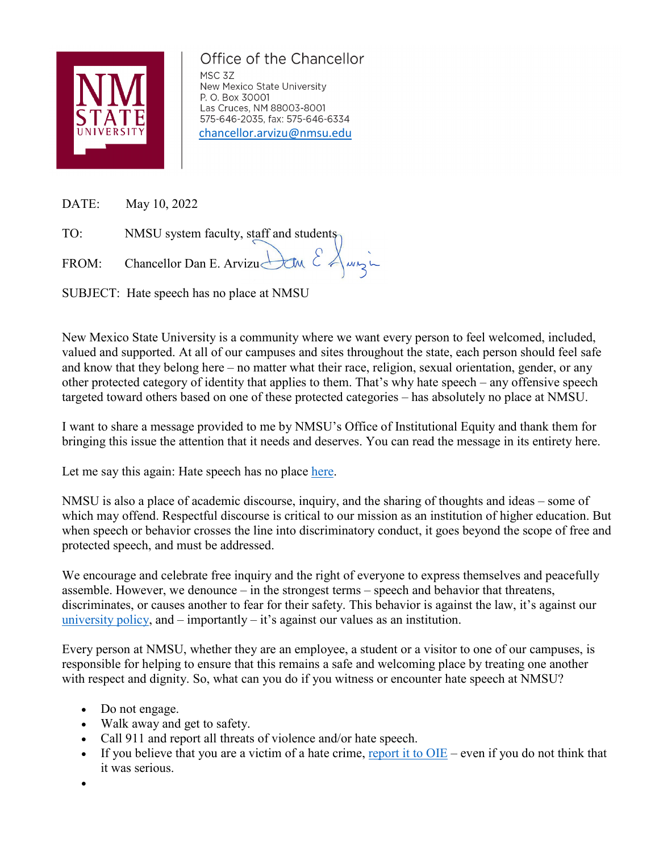

## Office of the Chancellor

MSC 3Z New Mexico State University P. O. Box 30001 Las Cruces, NM 88003-8001 575-646-2035, fax: 575-646-6334 [chancellor.arvizu@nmsu.edu](mailto:chancellor.arvizu@nmsu.edu)

DATE: May 10, 2022

TO: NMSU system faculty, staff and students

FROM: Chancellor Dan E. Arvizu  $\bigcup_{\alpha}$   $\mathcal{E}$   $\bigwedge_{\alpha}$   $\bigwedge_{\alpha}$ 

SUBJECT: Hate speech has no place at NMSU

New Mexico State University is a community where we want every person to feel welcomed, included, valued and supported. At all of our campuses and sites throughout the state, each person should feel safe and know that they belong here – no matter what their race, religion, sexual orientation, gender, or any other protected category of identity that applies to them. That's why hate speech – any offensive speech targeted toward others based on one of these protected categories – has absolutely no place at NMSU.

I want to share a message provided to me by NMSU's Office of Institutional Equity and thank them for bringing this issue the attention that it needs and deserves. You can read the message in its entirety here.

Let me say this again: Hate speech has no place [here.](https://chancellor.nmsu.edu/correspondence/22_0503_Hate_speech_letter_final.pdf)

NMSU is also a place of academic discourse, inquiry, and the sharing of thoughts and ideas – some of which may offend. Respectful discourse is critical to our mission as an institution of higher education. But when speech or behavior crosses the line into discriminatory conduct, it goes beyond the scope of free and protected speech, and must be addressed.

We encourage and celebrate free inquiry and the right of everyone to express themselves and peacefully assemble. However, we denounce – in the strongest terms – speech and behavior that threatens, discriminates, or causes another to fear for their safety. This behavior is against the law, it's against our [university policy,](https://arp.nmsu.edu/3-25/) and  $-$  importantly  $-$  it's against our values as an institution.

Every person at NMSU, whether they are an employee, a student or a visitor to one of our campuses, is responsible for helping to ensure that this remains a safe and welcoming place by treating one another with respect and dignity. So, what can you do if you witness or encounter hate speech at NMSU?

- Do not engage.
- Walk away and get to safety.
- Call 911 and report all threats of violence and/or hate speech.
- If you believe that you are a victim of a hate crime, report it to  $OIE$  even if you do not think that it was serious.
- •